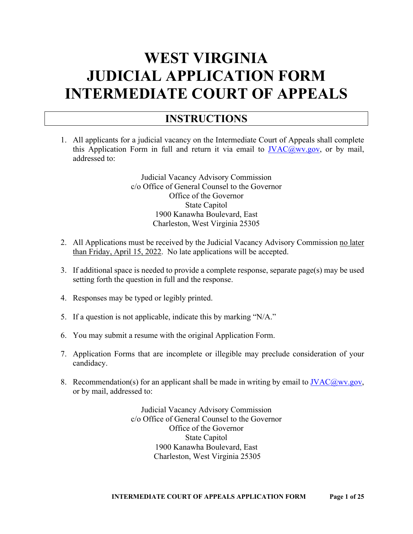# **WEST VIRGINIA JUDICIAL APPLICATION FORM INTERMEDIATE COURT OF APPEALS**

#### **INSTRUCTIONS**

1. All applicants for a judicial vacancy on the Intermediate Court of Appeals shall complete this Application Form in full and return it via email to  $JVAC@wv.gov$ , or by mail, addressed to:

> Judicial Vacancy Advisory Commission c/o Office of General Counsel to the Governor Office of the Governor State Capitol 1900 Kanawha Boulevard, East Charleston, West Virginia 25305

- 2. All Applications must be received by the Judicial Vacancy Advisory Commission no later than Friday, April 15, 2022. No late applications will be accepted.
- 3. If additional space is needed to provide a complete response, separate page(s) may be used setting forth the question in full and the response.
- 4. Responses may be typed or legibly printed.
- 5. If a question is not applicable, indicate this by marking "N/A."
- 6. You may submit a resume with the original Application Form.
- 7. Application Forms that are incomplete or illegible may preclude consideration of your candidacy.
- 8. Recommendation(s) for an applicant shall be made in writing by email to  $\text{IVAC}(a)$ wv.gov, or by mail, addressed to:

Judicial Vacancy Advisory Commission c/o Office of General Counsel to the Governor Office of the Governor State Capitol 1900 Kanawha Boulevard, East Charleston, West Virginia 25305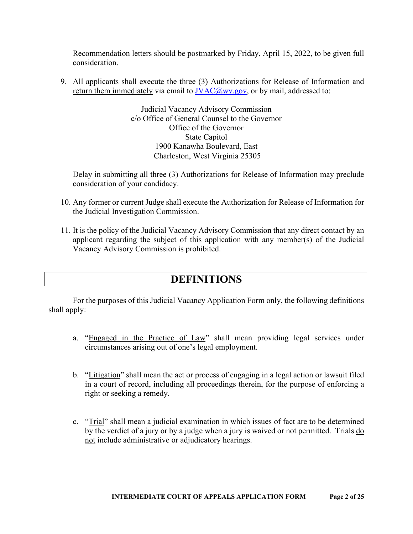Recommendation letters should be postmarked by Friday, April 15, 2022, to be given full consideration.

9. All applicants shall execute the three (3) Authorizations for Release of Information and return them immediately via email to  $\overline{IVAC}$  ( $\overline{Q}$ ) wv.gov, or by mail, addressed to:

> Judicial Vacancy Advisory Commission c/o Office of General Counsel to the Governor Office of the Governor State Capitol 1900 Kanawha Boulevard, East Charleston, West Virginia 25305

Delay in submitting all three (3) Authorizations for Release of Information may preclude consideration of your candidacy.

- 10. Any former or current Judge shall execute the Authorization for Release of Information for the Judicial Investigation Commission.
- 11. It is the policy of the Judicial Vacancy Advisory Commission that any direct contact by an applicant regarding the subject of this application with any member(s) of the Judicial Vacancy Advisory Commission is prohibited.

#### **DEFINITIONS**

For the purposes of this Judicial Vacancy Application Form only, the following definitions shall apply:

- a. "Engaged in the Practice of Law" shall mean providing legal services under circumstances arising out of one's legal employment.
- b. "Litigation" shall mean the act or process of engaging in a legal action or lawsuit filed in a court of record, including all proceedings therein, for the purpose of enforcing a right or seeking a remedy.
- c. "Trial" shall mean a judicial examination in which issues of fact are to be determined by the verdict of a jury or by a judge when a jury is waived or not permitted. Trials do not include administrative or adjudicatory hearings.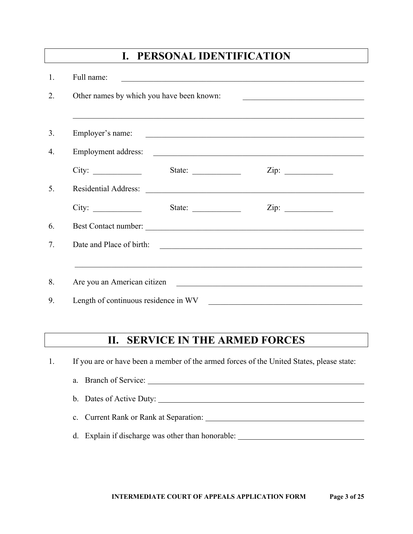| Full name:                                |                                                           | <u> 1989 - Johann Stoff, amerikansk politiker (d. 1989)</u>                                                                                                                                                                    |
|-------------------------------------------|-----------------------------------------------------------|--------------------------------------------------------------------------------------------------------------------------------------------------------------------------------------------------------------------------------|
| Other names by which you have been known: |                                                           |                                                                                                                                                                                                                                |
| Employer's name:                          |                                                           | ,我们也不能在这里的时候,我们也不能在这里的时候,我们也不能会不能会不能会不能会不能会不能会不能会不能会不能会不能会。""我们的是,我们也不能会不能会不能会不能                                                                                                                                               |
|                                           |                                                           | Employment address:                                                                                                                                                                                                            |
|                                           | State:                                                    | Zip: $\qquad \qquad$                                                                                                                                                                                                           |
|                                           |                                                           | Residential Address: Lawrence and the contract of the contract of the contract of the contract of the contract of the contract of the contract of the contract of the contract of the contract of the contract of the contract |
| City:                                     | State: $\frac{1}{\sqrt{1-\frac{1}{2}} \cdot \frac{1}{2}}$ |                                                                                                                                                                                                                                |
|                                           |                                                           |                                                                                                                                                                                                                                |
| Date and Place of birth:                  |                                                           |                                                                                                                                                                                                                                |
|                                           |                                                           | ,我们也不能在这里的时候,我们也不能在这里的时候,我们也不能会在这里的时候,我们也不能会在这里的时候,我们也不能会在这里的时候,我们也不能会在这里的时候,我们也不                                                                                                                                              |
|                                           |                                                           | Are you an American citizen                                                                                                                                                                                                    |

## **II. SERVICE IN THE ARMED FORCES**

1. If you are or have been a member of the armed forces of the United States, please state:

| a. Branch of Service:                  |  |
|----------------------------------------|--|
| b. Dates of Active Duty:               |  |
| c. Current Rank or Rank at Separation: |  |

#### d. Explain if discharge was other than honorable: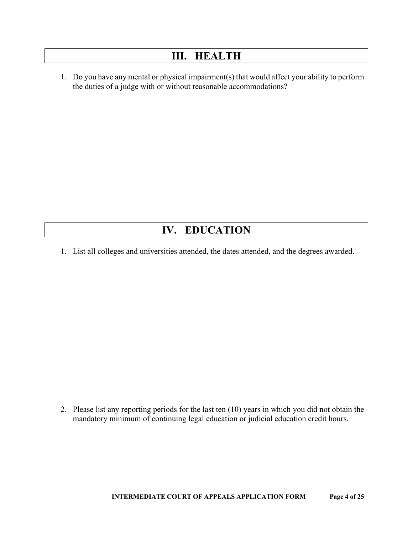#### **III. HEALTH**

1. Do you have any mental or physical impairment(s) that would affect your ability to perform the duties of a judge with or without reasonable accommodations?

#### **IV. EDUCATION**

1. List all colleges and universities attended, the dates attended, and the degrees awarded.

2. Please list any reporting periods for the last ten (10) years in which you did not obtain the mandatory minimum of continuing legal education or judicial education credit hours.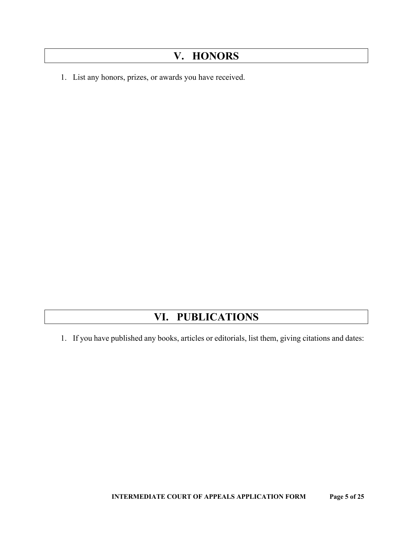## **V. HONORS**

1. List any honors, prizes, or awards you have received.

## **VI. PUBLICATIONS**

1. If you have published any books, articles or editorials, list them, giving citations and dates: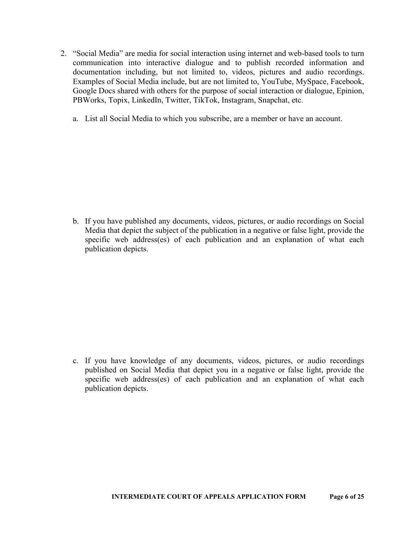- 2. "Social Media" are media for social interaction using internet and web-based tools to turn communication into interactive dialogue and to publish recorded information and documentation including, but not limited to, videos, pictures and audio recordings. Examples of Social Media include, but are not limited to, YouTube, MySpace, Facebook, Google Docs shared with others for the purpose of social interaction or dialogue, Epinion, PBWorks, Topix, LinkedIn, Twitter, TikTok, Instagram, Snapchat, etc.
	- a. List all Social Media to which you subscribe, are a member or have an account.

b. If you have published any documents, videos, pictures, or audio recordings on Social Media that depict the subject of the publication in a negative or false light, provide the specific web address(es) of each publication and an explanation of what each publication depicts.

c. If you have knowledge of any documents, videos, pictures, or audio recordings published on Social Media that depict you in a negative or false light, provide the specific web address(es) of each publication and an explanation of what each publication depicts.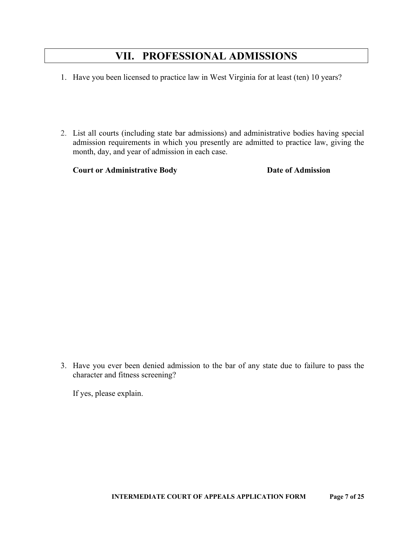#### **VII. PROFESSIONAL ADMISSIONS**

- 1. Have you been licensed to practice law in West Virginia for at least (ten) 10 years?
- 2. List all courts (including state bar admissions) and administrative bodies having special admission requirements in which you presently are admitted to practice law, giving the month, day, and year of admission in each case.

**Court or Administrative Body Date of Admission** 

3. Have you ever been denied admission to the bar of any state due to failure to pass the character and fitness screening?

If yes, please explain.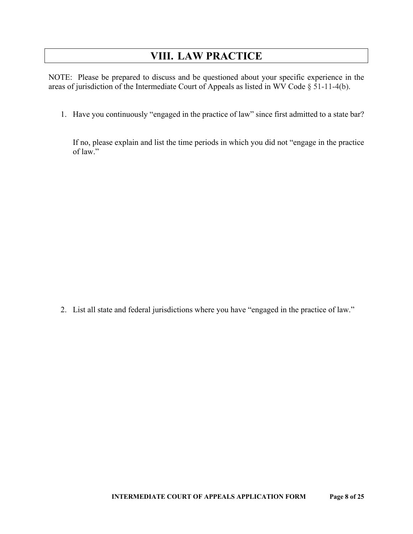## **VIII. LAW PRACTICE**

NOTE: Please be prepared to discuss and be questioned about your specific experience in the areas of jurisdiction of the Intermediate Court of Appeals as listed in WV Code § 51-11-4(b).

1. Have you continuously "engaged in the practice of law" since first admitted to a state bar?

If no, please explain and list the time periods in which you did not "engage in the practice of law."

2. List all state and federal jurisdictions where you have "engaged in the practice of law."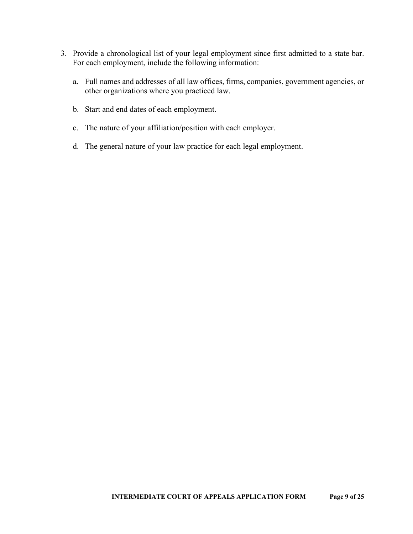- 3. Provide a chronological list of your legal employment since first admitted to a state bar. For each employment, include the following information:
	- a. Full names and addresses of all law offices, firms, companies, government agencies, or other organizations where you practiced law.
	- b. Start and end dates of each employment.
	- c. The nature of your affiliation/position with each employer.
	- d. The general nature of your law practice for each legal employment.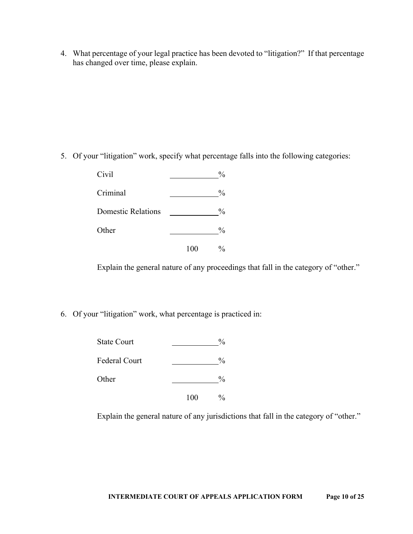4. What percentage of your legal practice has been devoted to "litigation?" If that percentage has changed over time, please explain.

5. Of your "litigation" work, specify what percentage falls into the following categories:

| Civil                     |     | $\frac{0}{0}$ |
|---------------------------|-----|---------------|
| Criminal                  |     | $\frac{0}{0}$ |
| <b>Domestic Relations</b> |     | $\frac{0}{0}$ |
| Other                     |     | $\frac{0}{0}$ |
|                           | 100 | %             |

Explain the general nature of any proceedings that fall in the category of "other."

6. Of your "litigation" work, what percentage is practiced in:

| <b>State Court</b> |     | $\frac{0}{0}$ |
|--------------------|-----|---------------|
| Federal Court      |     | $\frac{0}{0}$ |
| Other              |     | $\frac{0}{0}$ |
|                    | 100 | $\frac{0}{0}$ |

Explain the general nature of any jurisdictions that fall in the category of "other."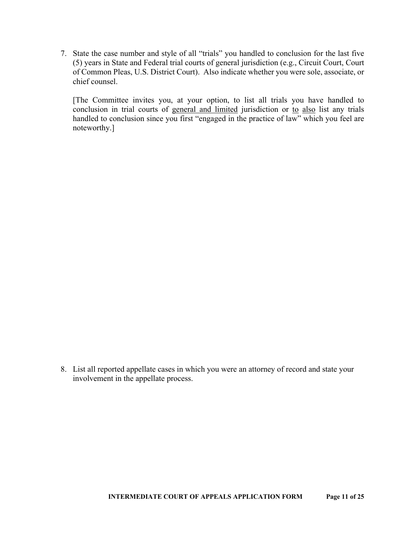7. State the case number and style of all "trials" you handled to conclusion for the last five (5) years in State and Federal trial courts of general jurisdiction (e.g., Circuit Court, Court of Common Pleas, U.S. District Court). Also indicate whether you were sole, associate, or chief counsel.

[The Committee invites you, at your option, to list all trials you have handled to conclusion in trial courts of general and limited jurisdiction or to also list any trials handled to conclusion since you first "engaged in the practice of law" which you feel are noteworthy.]

8. List all reported appellate cases in which you were an attorney of record and state your involvement in the appellate process.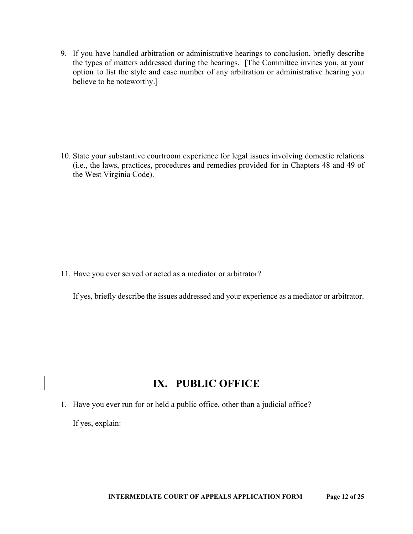9. If you have handled arbitration or administrative hearings to conclusion, briefly describe the types of matters addressed during the hearings. [The Committee invites you, at your option to list the style and case number of any arbitration or administrative hearing you believe to be noteworthy.]

10. State your substantive courtroom experience for legal issues involving domestic relations (i.e., the laws, practices, procedures and remedies provided for in Chapters 48 and 49 of the West Virginia Code).

11. Have you ever served or acted as a mediator or arbitrator?

If yes, briefly describe the issues addressed and your experience as a mediator or arbitrator.

#### **IX. PUBLIC OFFICE**

1. Have you ever run for or held a public office, other than a judicial office?

If yes, explain: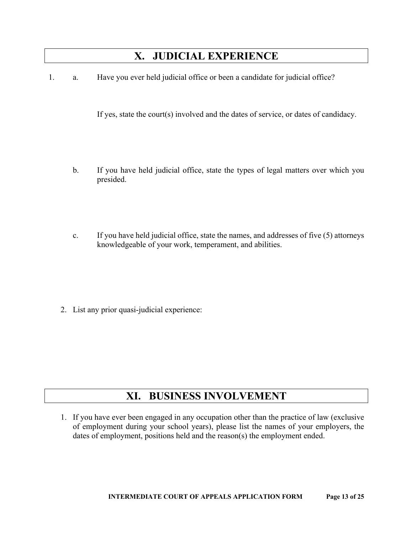#### **X. JUDICIAL EXPERIENCE**

1. a. Have you ever held judicial office or been a candidate for judicial office?

If yes, state the court(s) involved and the dates of service, or dates of candidacy.

- b. If you have held judicial office, state the types of legal matters over which you presided.
- c. If you have held judicial office, state the names, and addresses of five (5) attorneys knowledgeable of your work, temperament, and abilities.

2. List any prior quasi-judicial experience:

## **XI. BUSINESS INVOLVEMENT**

1. If you have ever been engaged in any occupation other than the practice of law (exclusive of employment during your school years), please list the names of your employers, the dates of employment, positions held and the reason(s) the employment ended.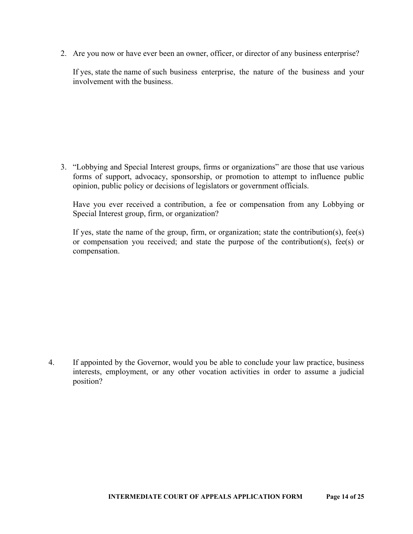2. Are you now or have ever been an owner, officer, or director of any business enterprise?

If yes, state the name of such business enterprise, the nature of the business and your involvement with the business.

3. "Lobbying and Special Interest groups, firms or organizations" are those that use various forms of support, advocacy, sponsorship, or promotion to attempt to influence public opinion, public policy or decisions of legislators or government officials.

Have you ever received a contribution, a fee or compensation from any Lobbying or Special Interest group, firm, or organization?

If yes, state the name of the group, firm, or organization; state the contribution(s), fee(s) or compensation you received; and state the purpose of the contribution(s), fee(s) or compensation.

4. If appointed by the Governor, would you be able to conclude your law practice, business interests, employment, or any other vocation activities in order to assume a judicial position?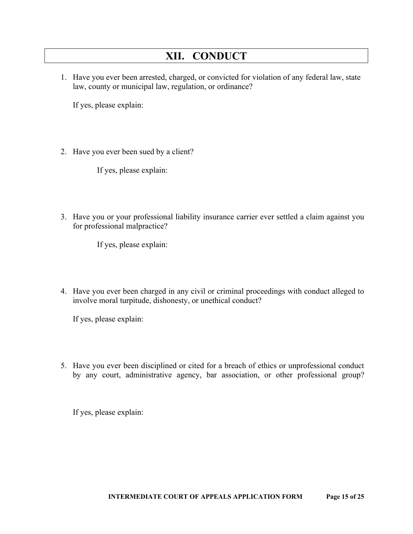#### **XII. CONDUCT**

1. Have you ever been arrested, charged, or convicted for violation of any federal law, state law, county or municipal law, regulation, or ordinance?

If yes, please explain:

2. Have you ever been sued by a client?

If yes, please explain:

3. Have you or your professional liability insurance carrier ever settled a claim against you for professional malpractice?

If yes, please explain:

4. Have you ever been charged in any civil or criminal proceedings with conduct alleged to involve moral turpitude, dishonesty, or unethical conduct?

If yes, please explain:

5. Have you ever been disciplined or cited for a breach of ethics or unprofessional conduct by any court, administrative agency, bar association, or other professional group?

If yes, please explain: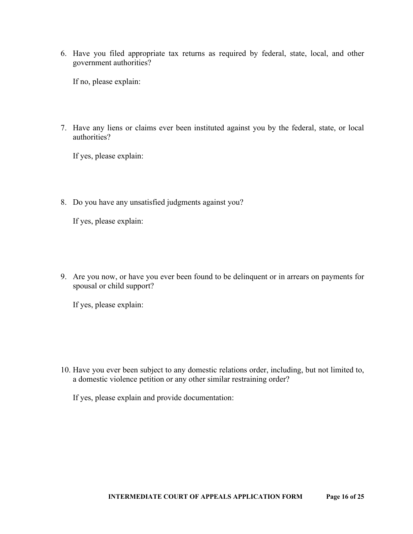6. Have you filed appropriate tax returns as required by federal, state, local, and other government authorities?

If no, please explain:

7. Have any liens or claims ever been instituted against you by the federal, state, or local authorities?

If yes, please explain:

8. Do you have any unsatisfied judgments against you?

If yes, please explain:

9. Are you now, or have you ever been found to be delinquent or in arrears on payments for spousal or child support?

If yes, please explain:

10. Have you ever been subject to any domestic relations order, including, but not limited to, a domestic violence petition or any other similar restraining order?

If yes, please explain and provide documentation: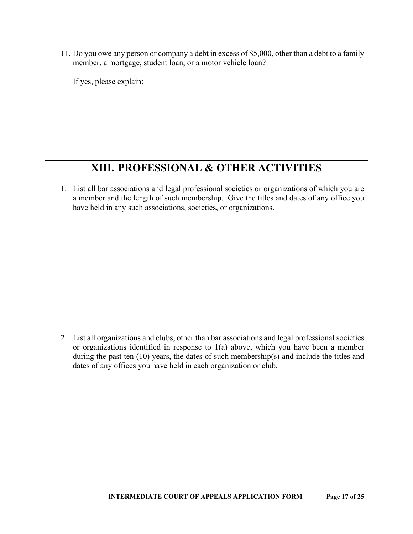11. Do you owe any person or company a debt in excess of \$5,000, other than a debt to a family member, a mortgage, student loan, or a motor vehicle loan?

If yes, please explain:

#### **XIII. PROFESSIONAL & OTHER ACTIVITIES**

1. List all bar associations and legal professional societies or organizations of which you are a member and the length of such membership. Give the titles and dates of any office you have held in any such associations, societies, or organizations.

2. List all organizations and clubs, other than bar associations and legal professional societies or organizations identified in response to 1(a) above, which you have been a member during the past ten (10) years, the dates of such membership(s) and include the titles and dates of any offices you have held in each organization or club.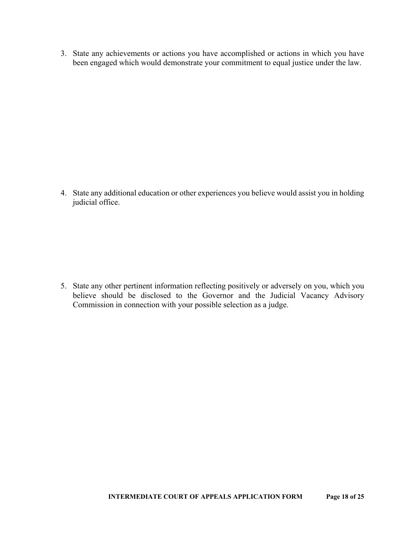3. State any achievements or actions you have accomplished or actions in which you have been engaged which would demonstrate your commitment to equal justice under the law.

4. State any additional education or other experiences you believe would assist you in holding judicial office.

5. State any other pertinent information reflecting positively or adversely on you, which you believe should be disclosed to the Governor and the Judicial Vacancy Advisory Commission in connection with your possible selection as a judge.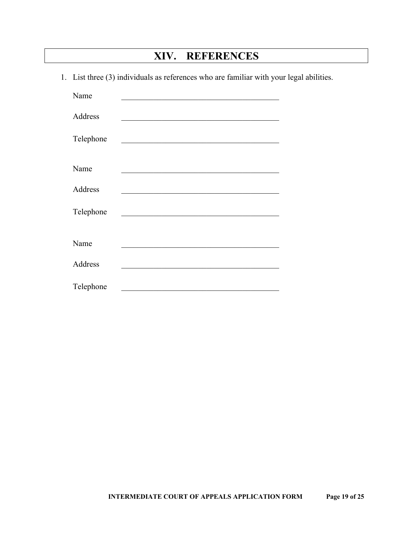## **XIV. REFERENCES**

1. List three (3) individuals as references who are familiar with your legal abilities.

| Name      |                                                                                                                       |
|-----------|-----------------------------------------------------------------------------------------------------------------------|
| Address   |                                                                                                                       |
| Telephone | <u> 1989 - Johann Barbara, martin amerikan basal dan berasal dalam basal dalam basal dalam basal dalam basal dala</u> |
| Name      |                                                                                                                       |
| Address   |                                                                                                                       |
| Telephone |                                                                                                                       |
|           |                                                                                                                       |
| Name      |                                                                                                                       |
| Address   |                                                                                                                       |
| Telephone |                                                                                                                       |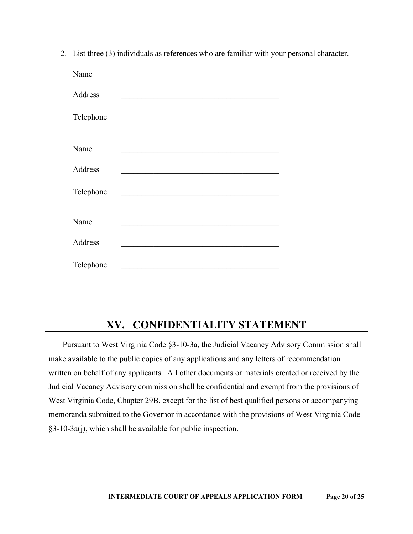2. List three (3) individuals as references who are familiar with your personal character.

| Name      |                                                    |
|-----------|----------------------------------------------------|
| Address   |                                                    |
| Telephone |                                                    |
|           |                                                    |
| Name      |                                                    |
| Address   |                                                    |
| Telephone | <u> 1989 - John Stein, Amerikaansk politiker (</u> |
|           |                                                    |
| Name      |                                                    |
| Address   |                                                    |
| Telephone |                                                    |

#### **XV. CONFIDENTIALITY STATEMENT**

Pursuant to West Virginia Code §3-10-3a, the Judicial Vacancy Advisory Commission shall make available to the public copies of any applications and any letters of recommendation written on behalf of any applicants. All other documents or materials created or received by the Judicial Vacancy Advisory commission shall be confidential and exempt from the provisions of West Virginia Code, Chapter 29B, except for the list of best qualified persons or accompanying memoranda submitted to the Governor in accordance with the provisions of West Virginia Code §3-10-3a(j), which shall be available for public inspection.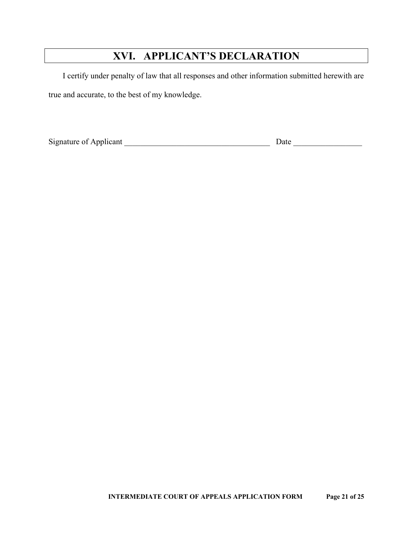# **XVI. APPLICANT'S DECLARATION**

I certify under penalty of law that all responses and other information submitted herewith are true and accurate, to the best of my knowledge.

Signature of Applicant \_\_\_\_\_\_\_\_\_\_\_\_\_\_\_\_\_\_\_\_\_\_\_\_\_\_\_\_\_\_\_\_\_\_\_\_ Date \_\_\_\_\_\_\_\_\_\_\_\_\_\_\_\_\_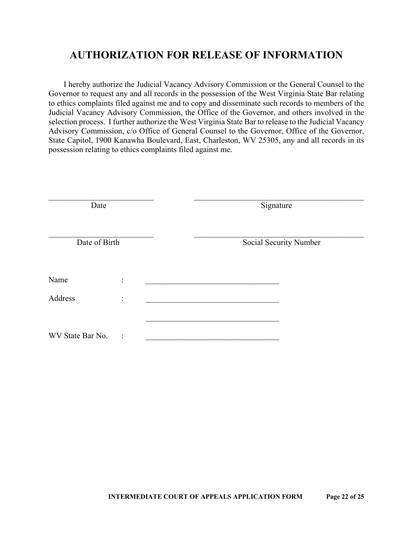I hereby authorize the Judicial Vacancy Advisory Commission or the General Counsel to the Governor to request any and all records in the possession of the West Virginia State Bar relating to ethics complaints filed against me and to copy and disseminate such records to members of the Judicial Vacancy Advisory Commission, the Office of the Governor, and others involved in the selection process. I further authorize the West Virginia State Bar to release to the Judicial Vacancy Advisory Commission, c/o Office of General Counsel to the Governor, Office of the Governor, State Capitol, 1900 Kanawha Boulevard, East, Charleston, WV 25305, any and all records in its possession relating to ethics complaints filed against me.

| Date             |                | Signature              |  |
|------------------|----------------|------------------------|--|
| Date of Birth    |                | Social Security Number |  |
| Name             | $\ddot{\cdot}$ |                        |  |
| Address          | $\ddot{\cdot}$ |                        |  |
| WV State Bar No. | $\ddot{\cdot}$ |                        |  |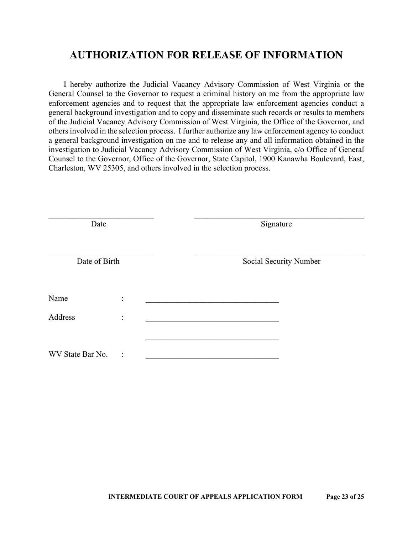I hereby authorize the Judicial Vacancy Advisory Commission of West Virginia or the General Counsel to the Governor to request a criminal history on me from the appropriate law enforcement agencies and to request that the appropriate law enforcement agencies conduct a general background investigation and to copy and disseminate such records or results to members of the Judicial Vacancy Advisory Commission of West Virginia, the Office of the Governor, and others involved in the selection process. I further authorize any law enforcement agency to conduct a general background investigation on me and to release any and all information obtained in the investigation to Judicial Vacancy Advisory Commission of West Virginia, c/o Office of General Counsel to the Governor, Office of the Governor, State Capitol, 1900 Kanawha Boulevard, East, Charleston, WV 25305, and others involved in the selection process.

| Date             |                | Signature              |
|------------------|----------------|------------------------|
| Date of Birth    |                | Social Security Number |
| Name             | $\ddot{\cdot}$ |                        |
| Address          | $\ddot{\cdot}$ |                        |
| WV State Bar No. | $\vdots$       |                        |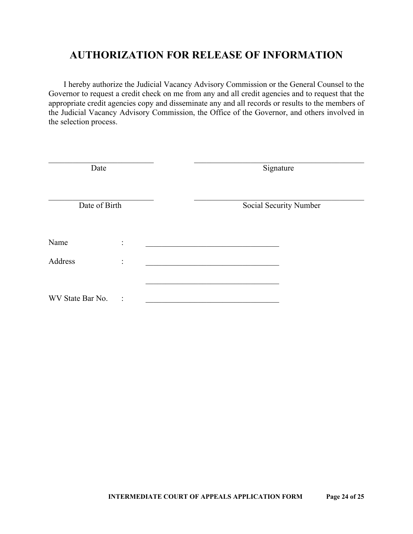I hereby authorize the Judicial Vacancy Advisory Commission or the General Counsel to the Governor to request a credit check on me from any and all credit agencies and to request that the appropriate credit agencies copy and disseminate any and all records or results to the members of the Judicial Vacancy Advisory Commission, the Office of the Governor, and others involved in the selection process.

| Date             |                | Signature |                        |
|------------------|----------------|-----------|------------------------|
| Date of Birth    |                |           | Social Security Number |
| Name             | $\ddot{\cdot}$ |           |                        |
| Address          | $\ddot{\cdot}$ |           |                        |
| WV State Bar No. | $\ddot{\cdot}$ |           |                        |